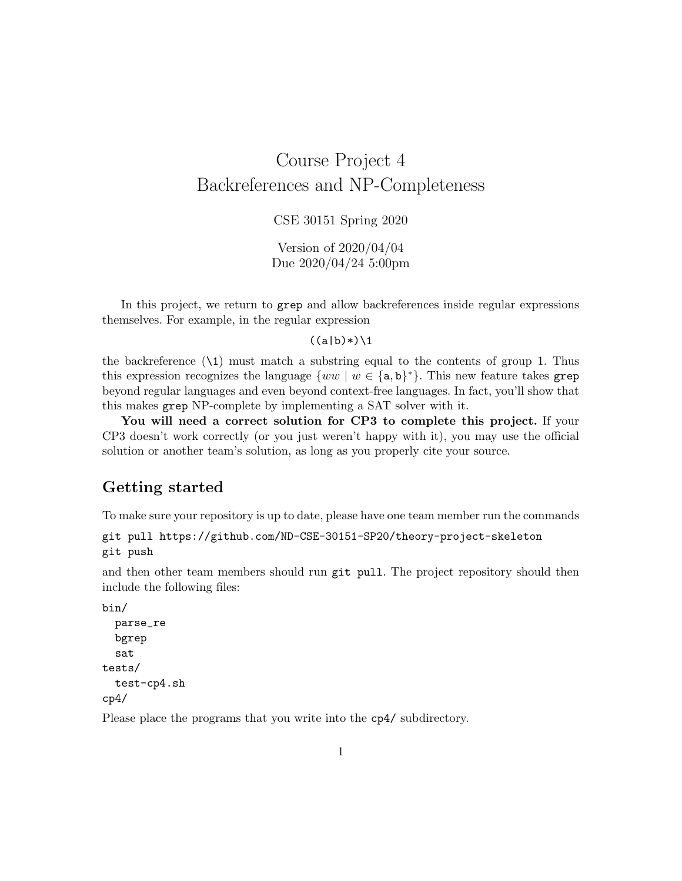# Course Project 4 Backreferences and NP-Completeness

CSE 30151 Spring 2020

Version of 2020/04/04 Due 2020/04/24 5:00pm

In this project, we return to grep and allow backreferences inside regular expressions themselves. For example, in the regular expression

#### $((a|b)*(1)$

the backreference  $(\lambda 1)$  must match a substring equal to the contents of group 1. Thus this expression recognizes the language  $\{ww \mid w \in \{a,b\}^*\}$ . This new feature takes grep beyond regular languages and even beyond context-free languages. In fact, you'll show that this makes grep NP-complete by implementing a SAT solver with it.

You will need a correct solution for CP3 to complete this project. If your CP3 doesn't work correctly (or you just weren't happy with it), you may use the official solution or another team's solution, as long as you properly cite your source.

### Getting started

To make sure your repository is up to date, please have one team member run the commands

```
git pull https://github.com/ND-CSE-30151-SP20/theory-project-skeleton
git push
```
and then other team members should run git pull. The project repository should then include the following files:

```
bin/
  parse_re
  bgrep
  sat
tests/
  test-cp4.sh
cp4/
```
Please place the programs that you write into the cp4/ subdirectory.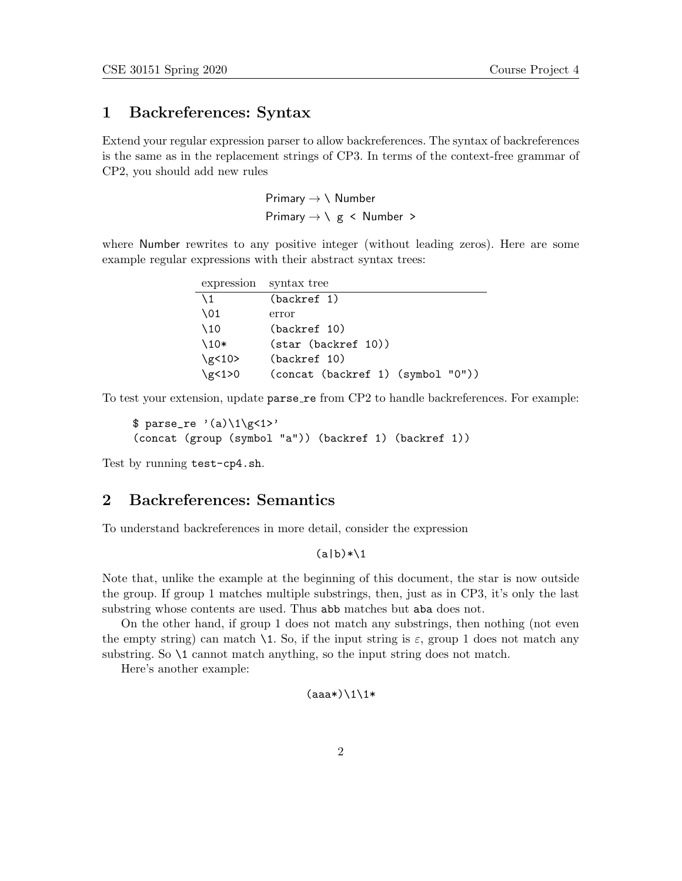# 1 Backreferences: Syntax

Extend your regular expression parser to allow backreferences. The syntax of backreferences is the same as in the replacement strings of CP3. In terms of the context-free grammar of CP2, you should add new rules

> Primary  $\rightarrow \backslash$  Number Primary  $\rightarrow \langle g \rangle$  < Number >

where Number rewrites to any positive integer (without leading zeros). Here are some example regular expressions with their abstract syntax trees:

| expression syntax tree |                                     |
|------------------------|-------------------------------------|
| $\setminus$ 1          | (backref 1)                         |
| $\setminus$ 01         | error                               |
| $\setminus$ 10         | (backref 10)                        |
| $\setminus$ 10*        | $(\text{star} (\text{backref} 10))$ |
| \g $<$ 10 >            | (backref 10)                        |
| $\gtrsim 1>0$          | (concat (backref 1) (symbol "0"))   |

To test your extension, update parse\_re from CP2 to handle backreferences. For example:

```
\frac{2}{3} parse_re '(a)\1\g<1>'
(concat (group (symbol "a")) (backref 1) (backref 1))
```
Test by running test-cp4.sh.

### 2 Backreferences: Semantics

To understand backreferences in more detail, consider the expression

#### $(a|b)$ \* $\1$

Note that, unlike the example at the beginning of this document, the star is now outside the group. If group 1 matches multiple substrings, then, just as in CP3, it's only the last substring whose contents are used. Thus abb matches but aba does not.

On the other hand, if group 1 does not match any substrings, then nothing (not even the empty string) can match  $\lambda$ 1. So, if the input string is  $\varepsilon$ , group 1 does not match any substring. So \1 cannot match anything, so the input string does not match.

Here's another example:

#### $(aaa*)\11*$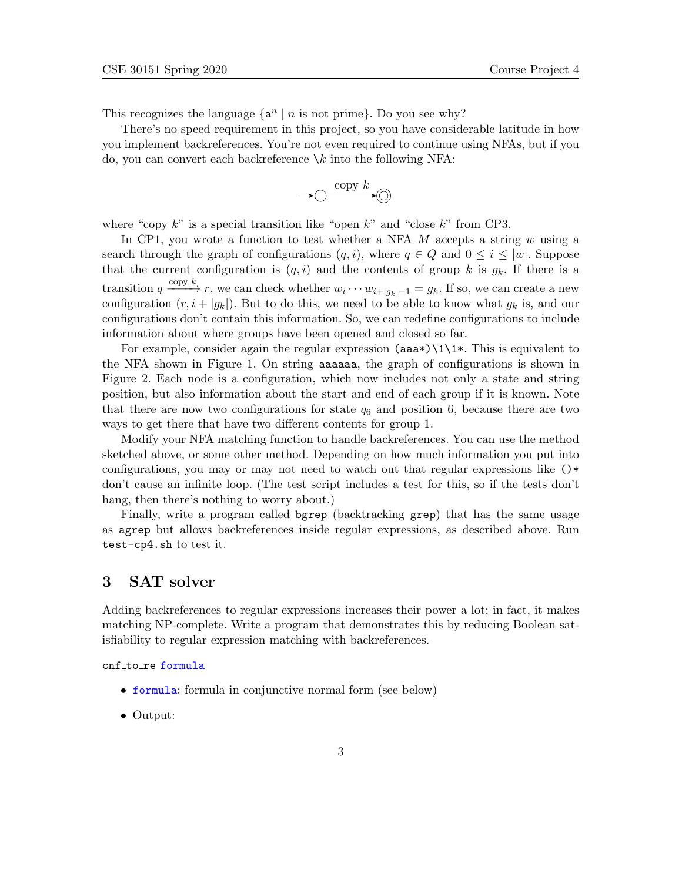This recognizes the language  $\{a^n \mid n \text{ is not prime}\}$ . Do you see why?

There's no speed requirement in this project, so you have considerable latitude in how you implement backreferences. You're not even required to continue using NFAs, but if you do, you can convert each backreference  $\lambda k$  into the following NFA:

$$
\longrightarrow \circlearrowright\stackrel{\mathrm{copy}\;k}{\longrightarrow} \circlearrowright
$$

where "copy  $k$ " is a special transition like "open  $k$ " and "close  $k$ " from CP3.

In CP1, you wrote a function to test whether a NFA  $M$  accepts a string  $w$  using a search through the graph of configurations  $(q, i)$ , where  $q \in Q$  and  $0 \leq i \leq |w|$ . Suppose that the current configuration is  $(q, i)$  and the contents of group k is  $g_k$ . If there is a transition  $q \xrightarrow{\text{copy } k} r$ , we can check whether  $w_i \cdots w_{i+|g_k|-1} = g_k$ . If so, we can create a new configuration  $(r, i + |g_k|)$ . But to do this, we need to be able to know what  $g_k$  is, and our configurations don't contain this information. So, we can redefine configurations to include information about where groups have been opened and closed so far.

For example, consider again the regular expression  $(aaa*)\1\1*$ . This is equivalent to the NFA shown in Figure 1. On string aaaaaa, the graph of configurations is shown in Figure 2. Each node is a configuration, which now includes not only a state and string position, but also information about the start and end of each group if it is known. Note that there are now two configurations for state  $q_6$  and position 6, because there are two ways to get there that have two different contents for group 1.

Modify your NFA matching function to handle backreferences. You can use the method sketched above, or some other method. Depending on how much information you put into configurations, you may or may not need to watch out that regular expressions like ()\* don't cause an infinite loop. (The test script includes a test for this, so if the tests don't hang, then there's nothing to worry about.)

Finally, write a program called bgrep (backtracking grep) that has the same usage as agrep but allows backreferences inside regular expressions, as described above. Run test-cp4.sh to test it.

# 3 SAT solver

Adding backreferences to regular expressions increases their power a lot; in fact, it makes matching NP-complete. Write a program that demonstrates this by reducing Boolean satisfiability to regular expression matching with backreferences.

cnf to re formula

- formula: formula in conjunctive normal form (see below)
- Output: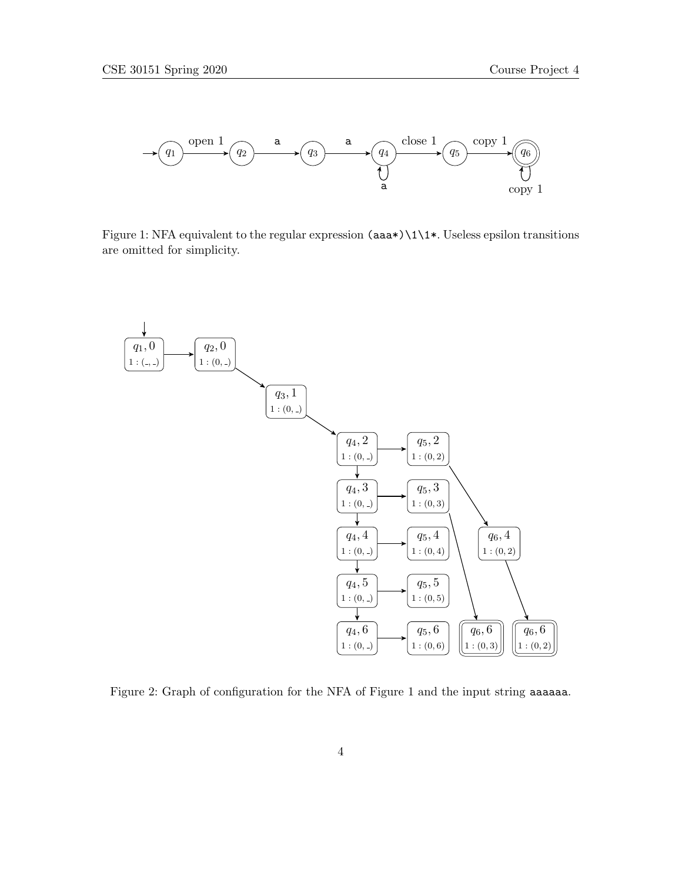

Figure 1: NFA equivalent to the regular expression (aaa\*)\1\1\*. Useless epsilon transitions are omitted for simplicity.



Figure 2: Graph of configuration for the NFA of Figure 1 and the input string aaaaaa.